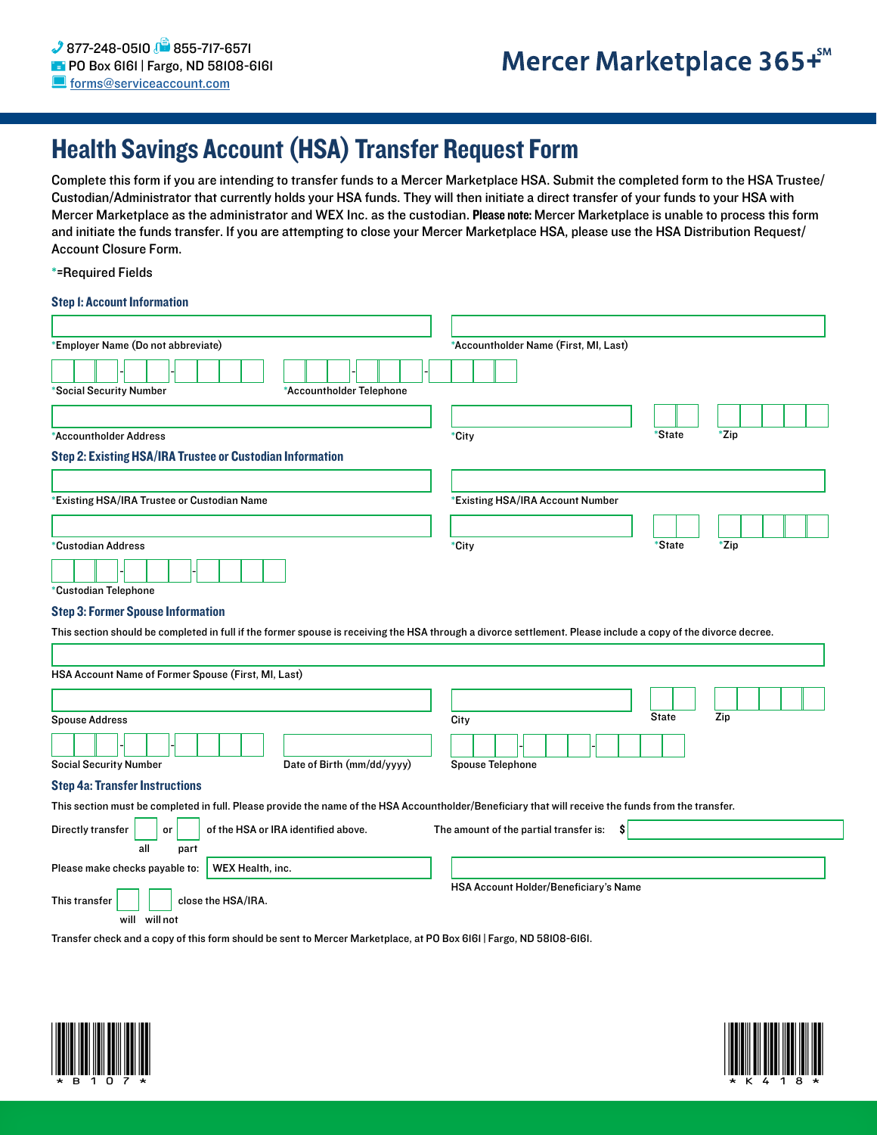# Health Savings Account (HSA) Transfer Request Form

Complete this form if you are intending to transfer funds to a Mercer Marketplace HSA. Submit the completed form to the HSA Trustee/ Custodian/Administrator that currently holds your HSA funds. They will then initiate a direct transfer of your funds to your HSA with Mercer Marketplace as the administrator and WEX Inc. as the custodian. Please note: Mercer Marketplace is unable to process this form and initiate the funds transfer. If you are attempting to close your Mercer Marketplace HSA, please use the HSA Distribution Request/ Account Closure Form.

\*=Required Fields

# Step 1: Account Information

| *Employer Name (Do not abbreviate)                                                                                                                            | *Accountholder Name (First, MI, Last)        |              |      |
|---------------------------------------------------------------------------------------------------------------------------------------------------------------|----------------------------------------------|--------------|------|
|                                                                                                                                                               |                                              |              |      |
| *Social Security Number<br>*Accountholder Telephone                                                                                                           |                                              |              |      |
|                                                                                                                                                               |                                              |              |      |
| *Accountholder Address                                                                                                                                        | *City                                        | *State       | *Zip |
| <b>Step 2: Existing HSA/IRA Trustee or Custodian Information</b>                                                                                              |                                              |              |      |
|                                                                                                                                                               |                                              |              |      |
| *Existing HSA/IRA Trustee or Custodian Name                                                                                                                   | *Existing HSA/IRA Account Number             |              |      |
|                                                                                                                                                               |                                              |              |      |
| *Custodian Address                                                                                                                                            | *City                                        | *State       | *Zip |
|                                                                                                                                                               |                                              |              |      |
| *Custodian Telephone                                                                                                                                          |                                              |              |      |
| <b>Step 3: Former Spouse Information</b>                                                                                                                      |                                              |              |      |
| This section should be completed in full if the former spouse is receiving the HSA through a divorce settlement. Please include a copy of the divorce decree. |                                              |              |      |
|                                                                                                                                                               |                                              |              |      |
| HSA Account Name of Former Spouse (First, MI, Last)                                                                                                           |                                              |              |      |
|                                                                                                                                                               |                                              |              |      |
|                                                                                                                                                               |                                              | <b>State</b> | Zip  |
| <b>Spouse Address</b>                                                                                                                                         | City                                         |              |      |
|                                                                                                                                                               |                                              |              |      |
| Date of Birth (mm/dd/yyyy)<br><b>Social Security Number</b>                                                                                                   | <b>Spouse Telephone</b>                      |              |      |
| <b>Step 4a: Transfer Instructions</b>                                                                                                                         |                                              |              |      |
| This section must be completed in full. Please provide the name of the HSA Accountholder/Beneficiary that will receive the funds from the transfer.           |                                              |              |      |
| of the HSA or IRA identified above.<br>Directly transfer<br>or<br>all<br>part                                                                                 | The amount of the partial transfer is:<br>S. |              |      |
| WEX Health, inc.<br>Please make checks payable to:                                                                                                            |                                              |              |      |
|                                                                                                                                                               |                                              |              |      |
|                                                                                                                                                               |                                              |              |      |
| close the HSA/IRA.<br>This transfer<br>will will not                                                                                                          | HSA Account Holder/Beneficiary's Name        |              |      |